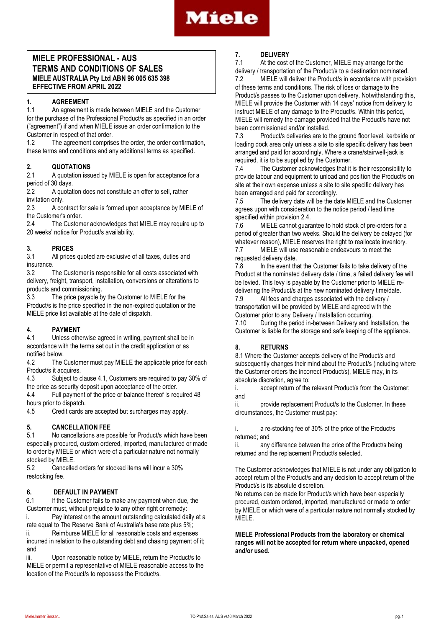

## **MIELE PROFESSIONAL - AUS TERMS AND CONDITIONS OF SALES MIELE AUSTRALIA Pty Ltd ABN 96 005 635 398 EFFECTIVE FROM APRIL 2022**

## **1. AGREEMENT**

1.1 An agreement is made between MIELE and the Customer for the purchase of the Professional Product/s as specified in an order ("agreement") if and when MIELE issue an order confirmation to the Customer in respect of that order.<br>12 The agreement comprise

The agreement comprises the order, the order confirmation, these terms and conditions and any additional terms as specified.

# **2. QUOTATIONS**

A quotation issued by MIELE is open for acceptance for a period of 30 days.

2.2 A quotation does not constitute an offer to sell, rather invitation only.

2.3 A contract for sale is formed upon acceptance by MIELE of the Customer's order.

2.4 The Customer acknowledges that MIELE may require up to 20 weeks' notice for Product/s availability.

## **3. PRICES**

3.1 All prices quoted are exclusive of all taxes, duties and insurance<br>3.2

The Customer is responsible for all costs associated with delivery, freight, transport, installation, conversions or alterations to products and commissioning.

3.3 The price payable by the Customer to MIELE for the Product/s is the price specified in the non-expired quotation or the MIELE price list available at the date of dispatch.

## **4. PAYMENT**

4.1 Unless otherwise agreed in writing, payment shall be in accordance with the terms set out in the credit application or as notified below.

4.2 The Customer must pay MIELE the applicable price for each Product/s it acquires.

4.3 Subject to clause 4.1, Customers are required to pay 30% of the price as security deposit upon acceptance of the order.

4.4 Full payment of the price or balance thereof is required 48 hours prior to dispatch.

4.5 Credit cards are accepted but surcharges may apply.

## **5. CANCELLATION FEE**

5.1 No cancellations are possible for Product/s which have been especially procured, custom ordered, imported, manufactured or made to order by MIELE or which were of a particular nature not normally stocked by MIELE

5.2 Cancelled orders for stocked items will incur a 30% restocking fee.

## **6. DEFAULT IN PAYMENT**

6.1 If the Customer fails to make any payment when due, the Customer must, without prejudice to any other right or remedy:

i. Pay interest on the amount outstanding calculated daily at a rate equal to The Reserve Bank of Australia's base rate plus 5%; ii. Reimburse MIELE for all reasonable costs and expenses

incurred in relation to the outstanding debt and chasing payment of it; and

iii. Upon reasonable notice by MIELE, return the Product/s to MIELE or permit a representative of MIELE reasonable access to the location of the Product/s to repossess the Product/s.

## **7. DELIVERY**

At the cost of the Customer, MIELE may arrange for the delivery / transportation of the Product/s to a destination nominated.

7.2 MIELE will deliver the Product/s in accordance with provision of these terms and conditions. The risk of loss or damage to the Product/s passes to the Customer upon delivery. Notwithstanding this, MIELE will provide the Customer with 14 days' notice from delivery to instruct MIELE of any damage to the Product/s. Within this period, MIELE will remedy the damage provided that the Product/s have not been commissioned and/or installed.

7.3 Product/s deliveries are to the ground floor level, kerbside or loading dock area only unless a site to site specific delivery has been arranged and paid for accordingly. Where a crane/stairwell-jack is required, it is to be supplied by the Customer.<br>7.4 The Customer acknowledges that it

The Customer acknowledges that it is their responsibility to provide labour and equipment to unload and position the Product/s on site at their own expense unless a site to site specific delivery has been arranged and paid for accordingly.

7.5 The delivery date will be the date MIELE and the Customer agrees upon with consideration to the notice period / lead time specified within provision 2.4.

7.6 MIELE cannot guarantee to hold stock of pre-orders for a period of greater than two weeks. Should the delivery be delayed (for whatever reason), MIELE reserves the right to reallocate inventory. 7.7 MIELE will use reasonable endeavours to meet the

requested delivery date.

7.8 In the event that the Customer fails to take delivery of the Product at the nominated delivery date / time, a failed delivery fee will be levied. This levy is payable by the Customer prior to MIELE re-

delivering the Product/s at the new nominated delivery time/date.<br>7.9 All fees and charges associated with the delivery / All fees and charges associated with the delivery / transportation will be provided by MIELE and agreed with the Customer prior to any Delivery / Installation occurring.

7.10 During the period in-between Delivery and Installation, the Customer is liable for the storage and safe keeping of the appliance.

## **8. RETURNS**

8.1 Where the Customer accepts delivery of the Product/s and subsequently changes their mind about the Product/s (including where the Customer orders the incorrect Product/s), MIELE may, in its absolute discretion, agree to:

i. accept return of the relevant Product/s from the Customer; and

ii. provide replacement Product/s to the Customer. In these circumstances, the Customer must pay:

i. a re-stocking fee of 30% of the price of the Product/s returned; and

ii. any difference between the price of the Product/s being returned and the replacement Product/s selected.

The Customer acknowledges that MIELE is not under any obligation to accept return of the Product/s and any decision to accept return of the Product/s is its absolute discretion.

No returns can be made for Product/s which have been especially procured, custom ordered, imported, manufactured or made to order by MIELE or which were of a particular nature not normally stocked by MIELE.

**MIELE Professional Products from the laboratory or chemical ranges will not be accepted for return where unpacked, opened and/or used.**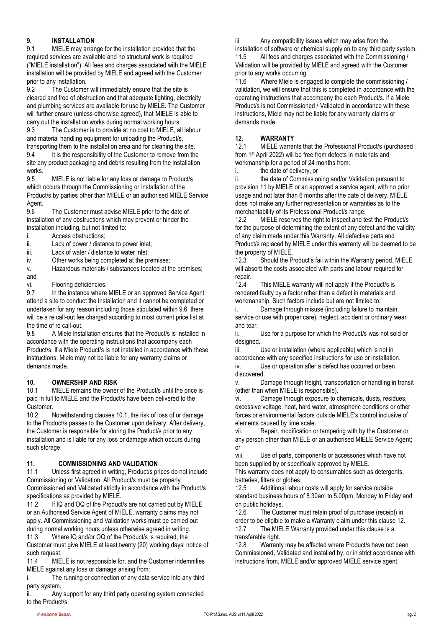## **9. INSTALLATION**

9.1 MIELE may arrange for the installation provided that the required services are available and no structural work is required ("MIELE installation"). All fees and charges associated with the MIELE installation will be provided by MIELE and agreed with the Customer prior to any installation.<br>9.2 The Custome

The Customer will immediately ensure that the site is cleared and free of obstruction and that adequate lighting, electricity and plumbing services are available for use by MIELE. The Customer will further ensure (unless otherwise agreed), that MIELE is able to

carry out the installation works during normal working hours.<br>9.3 The Customer is to provide at no cost to MIELE, all The Customer is to provide at no cost to MIELE, all labour and material handling equipment for unloading the Product/s, transporting them to the installation area and for cleaning the site.

9.4 It is the responsibility of the Customer to remove from the site any product packaging and debris resulting from the installation works.

9.5 MIELE is not liable for any loss or damage to Product/s which occurs through the Commissioning or Installation of the Product/s by parties other than MIELE or an authorised MIELE Service Agent.

9.6 The Customer must advise MIELE prior to the date of installation of any obstructions which may prevent or hinder the installation including, but not limited to:

i. Access obstructions;

ii. Lack of power / distance to power inlet;

iii. Lack of water / distance to water inlet;

iv. Other works being completed at the premises;

v. Hazardous materials / substances located at the premises; and

vi. Flooring deficiencies.

9.7 In the instance where MIELE or an approved Service Agent attend a site to conduct the installation and it cannot be completed or undertaken for any reason including those stipulated within 9.6, there will be a re call-out fee charged according to most current price list at the time of re call-out.

9.8 A Miele Installation ensures that the Product/s is installed in accordance with the operating instructions that accompany each Product/s. If a Miele Product/s is not installed in accordance with these instructions, Miele may not be liable for any warranty claims or demands made.

## **10. OWNERSHIP AND RISK**

10.1 MIELE remains the owner of the Product/s until the price is paid in full to MIELE and the Product/s have been delivered to the Customer.

10.2 Notwithstanding clauses 10.1, the risk of loss of or damage to the Product/s passes to the Customer upon delivery. After delivery, the Customer is responsible for storing the Product/s prior to any installation and is liable for any loss or damage which occurs during such storage.

## **11. COMMISSIONING AND VALIDATION**

11.1 Unless first agreed in writing, Product/s prices do not include Commissioning or Validation. All Product/s must be properly Commissioned and Validated strictly in accordance with the Product/s specifications as provided by MIELE.

11.2 If IQ and OQ of the Product/s are not carried out by MIELE or an Authorised Service Agent of MIELE, warranty claims may not apply. All Commissioning and Validation works must be carried out during normal working hours unless otherwise agreed in writing. 11.3 Where IQ and/or OQ of the Product/s is required, the

Customer must give MIELE at least twenty (20) working days' notice of such request.

11.4 MIELE is not responsible for, and the Customer indemnifies MIELE against any loss or damage arising from:

i. The running or connection of any data service into any third party system.

ii. Any support for any third party operating system connected to the Product/s.

iii Any compatibility issues which may arise from the

installation of software or chemical supply on to any third party system.<br>11.5 All fees and charges associated with the Commissioning / All fees and charges associated with the Commissioning / Validation will be provided by MIELE and agreed with the Customer prior to any works occurring.

11.6 Where Miele is engaged to complete the commissioning / validation, we will ensure that this is completed in accordance with the operating instructions that accompany the each Product/s. If a Miele Product/s is not Commissioned / Validated in accordance with these instructions, Miele may not be liable for any warranty claims or demands made.

## **12. WARRANTY**

12.1 MIELE warrants that the Professional Product/s (purchased from 1st April 2022) will be free from defects in materials and workmanship for a period of 24 months from:

i. the date of delivery, or

ii. the date of Commissioning and/or Validation pursuant to provision 11 by MIELE or an approved a service agent, with no prior usage and not later than 6 months after the date of delivery. MIELE does not make any further representation or warranties as to the merchantability of its Professional Product/s range.

12.2 MIELE reserves the right to inspect and test the Product/s for the purpose of determining the extent of any defect and the validity of any claim made under this Warranty. All defective parts and Product/s replaced by MIELE under this warranty will be deemed to be the property of MIELE.

12.3 Should the Product's fail within the Warranty period, MIELE will absorb the costs associated with parts and labour required for repair.<br>12.4

This MIELE warranty will not apply if the Product/s is rendered faulty by a factor other than a defect in materials and workmanship. Such factors include but are not limited to:

Damage through misuse (including failure to maintain, service or use with proper care), neglect, accident or ordinary wear and tear.

ii. Use for a purpose for which the Product/s was not sold or designed.

iii. Use or installation (where applicable) which is not in accordance with any specified instructions for use or installation. iv. Use or operation after a defect has occurred or been discovered.

v. Damage through freight, transportation or handling in transit (other than when MIELE is responsible).

vi. Damage through exposure to chemicals, dusts, residues, excessive voltage, heat, hard water, atmospheric conditions or other forces or environmental factors outside MIELE's control inclusive of elements caused by lime scale.

vii. Repair, modification or tampering with by the Customer or any person other than MIELE or an authorised MIELE Service Agent; or

viii. Use of parts, components or accessories which have not been supplied by or specifically approved by MIELE.

This warranty does not apply to consumables such as detergents, batteries, filters or globes.

12.5 Additional labour costs will apply for service outside standard business hours of 8.30am to 5.00pm, Monday to Friday and on public holidays.

12.6 The Customer must retain proof of purchase (receipt) in order to be eligible to make a Warranty claim under this clause 12.

12.7 The MIELE Warranty provided under this clause is a transferable right.

12.8 Warranty may be affected where Product/s have not been Commissioned, Validated and installed by, or in strict accordance with instructions from, MIELE and/or approved MIELE service agent.